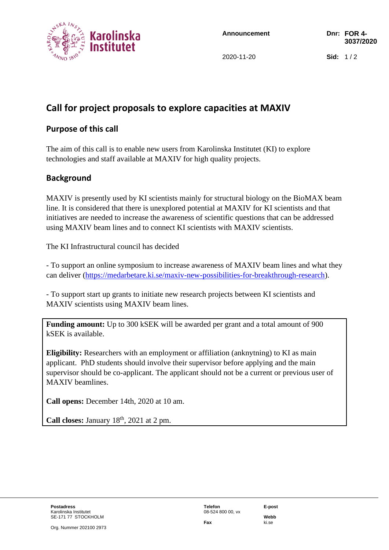

**Announcement Dnr: FOR 4-**

2020-11-20 **Sid:** 1 / 2

# **Call for project proposals to explore capacities at MAXIV**

## **Purpose of this call**

The aim of this call is to enable new users from Karolinska Institutet (KI) to explore technologies and staff available at MAXIV for high quality projects.

#### **Background**

MAXIV is presently used by KI scientists mainly for structural biology on the BioMAX beam line. It is considered that there is unexplored potential at MAXIV for KI scientists and that initiatives are needed to increase the awareness of scientific questions that can be addressed using MAXIV beam lines and to connect KI scientists with MAXIV scientists.

The KI Infrastructural council has decided

- To support an online symposium to increase awareness of MAXIV beam lines and what they can deliver [\(https://medarbetare.ki.se/maxiv-new-possibilities-for-breakthrough-research\)](https://medarbetare.ki.se/maxiv-new-possibilities-for-breakthrough-research).

- To support start up grants to initiate new research projects between KI scientists and MAXIV scientists using MAXIV beam lines.

**Funding amount:** Up to 300 kSEK will be awarded per grant and a total amount of 900 kSEK is available.

**Eligibility:** Researchers with an employment or affiliation (anknytning) to KI as main applicant. PhD students should involve their supervisor before applying and the main supervisor should be co-applicant. The applicant should not be a current or previous user of MAXIV beamlines.

**Call opens:** December 14th, 2020 at 10 am.

**Call closes:** January  $18<sup>th</sup>$ ,  $2021$  at 2 pm.

**Fax** ki.se